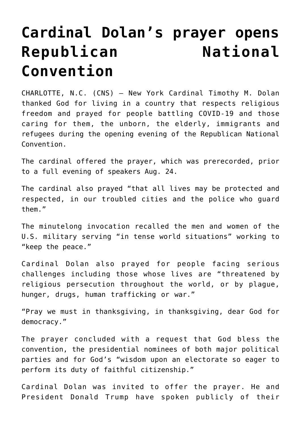## **[Cardinal Dolan's prayer opens](https://www.osvnews.com/2020/08/25/cardinal-dolans-prayer-opens-republican-national-convention/)** Republican **National [Convention](https://www.osvnews.com/2020/08/25/cardinal-dolans-prayer-opens-republican-national-convention/)**

CHARLOTTE, N.C. (CNS) — New York Cardinal Timothy M. Dolan thanked God for living in a country that respects religious freedom and prayed for people battling COVID-19 and those caring for them, the unborn, the elderly, immigrants and refugees during the opening evening of the Republican National Convention.

The cardinal offered the prayer, which was prerecorded, prior to a full evening of speakers Aug. 24.

The cardinal also prayed "that all lives may be protected and respected, in our troubled cities and the police who guard them."

The minutelong invocation recalled the men and women of the U.S. military serving "in tense world situations" working to "keep the peace."

Cardinal Dolan also prayed for people facing serious challenges including those whose lives are "threatened by religious persecution throughout the world, or by plague, hunger, drugs, human trafficking or war."

"Pray we must in thanksgiving, in thanksgiving, dear God for democracy."

The prayer concluded with a request that God bless the convention, the presidential nominees of both major political parties and for God's "wisdom upon an electorate so eager to perform its duty of faithful citizenship."

Cardinal Dolan was invited to offer the prayer. He and President Donald Trump have spoken publicly of their